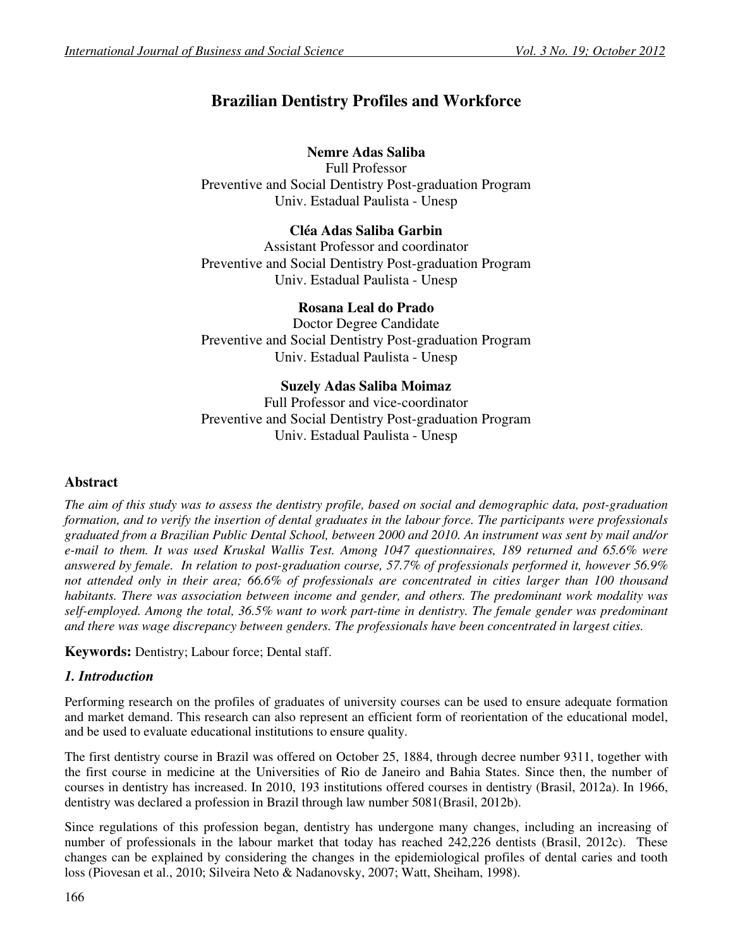# **Brazilian Dentistry Profiles and Workforce**

# **Nemre Adas Saliba**

Full Professor Preventive and Social Dentistry Post-graduation Program Univ. Estadual Paulista - Unesp

## **Cléa Adas Saliba Garbin**

Assistant Professor and coordinator Preventive and Social Dentistry Post-graduation Program Univ. Estadual Paulista - Unesp

## **Rosana Leal do Prado**

Doctor Degree Candidate Preventive and Social Dentistry Post-graduation Program Univ. Estadual Paulista - Unesp

## **Suzely Adas Saliba Moimaz**

Full Professor and vice-coordinator Preventive and Social Dentistry Post-graduation Program Univ. Estadual Paulista - Unesp

# **Abstract**

*The aim of this study was to assess the dentistry profile, based on social and demographic data, post-graduation formation, and to verify the insertion of dental graduates in the labour force. The participants were professionals graduated from a Brazilian Public Dental School, between 2000 and 2010. An instrument was sent by mail and/or e-mail to them. It was used Kruskal Wallis Test. Among 1047 questionnaires, 189 returned and 65.6% were answered by female. In relation to post-graduation course, 57.7% of professionals performed it, however 56.9% not attended only in their area; 66.6% of professionals are concentrated in cities larger than 100 thousand habitants. There was association between income and gender, and others. The predominant work modality was self-employed. Among the total, 36.5% want to work part-time in dentistry. The female gender was predominant and there was wage discrepancy between genders. The professionals have been concentrated in largest cities.* 

**Keywords:** Dentistry; Labour force; Dental staff.

#### *1. Introduction*

Performing research on the profiles of graduates of university courses can be used to ensure adequate formation and market demand. This research can also represent an efficient form of reorientation of the educational model, and be used to evaluate educational institutions to ensure quality.

The first dentistry course in Brazil was offered on October 25, 1884, through decree number 9311, together with the first course in medicine at the Universities of Rio de Janeiro and Bahia States. Since then, the number of courses in dentistry has increased. In 2010, 193 institutions offered courses in dentistry (Brasil, 2012a). In 1966, dentistry was declared a profession in Brazil through law number 5081(Brasil, 2012b).

Since regulations of this profession began, dentistry has undergone many changes, including an increasing of number of professionals in the labour market that today has reached 242,226 dentists (Brasil, 2012c). These changes can be explained by considering the changes in the epidemiological profiles of dental caries and tooth loss (Piovesan et al., 2010; Silveira Neto & Nadanovsky, 2007; Watt, Sheiham, 1998).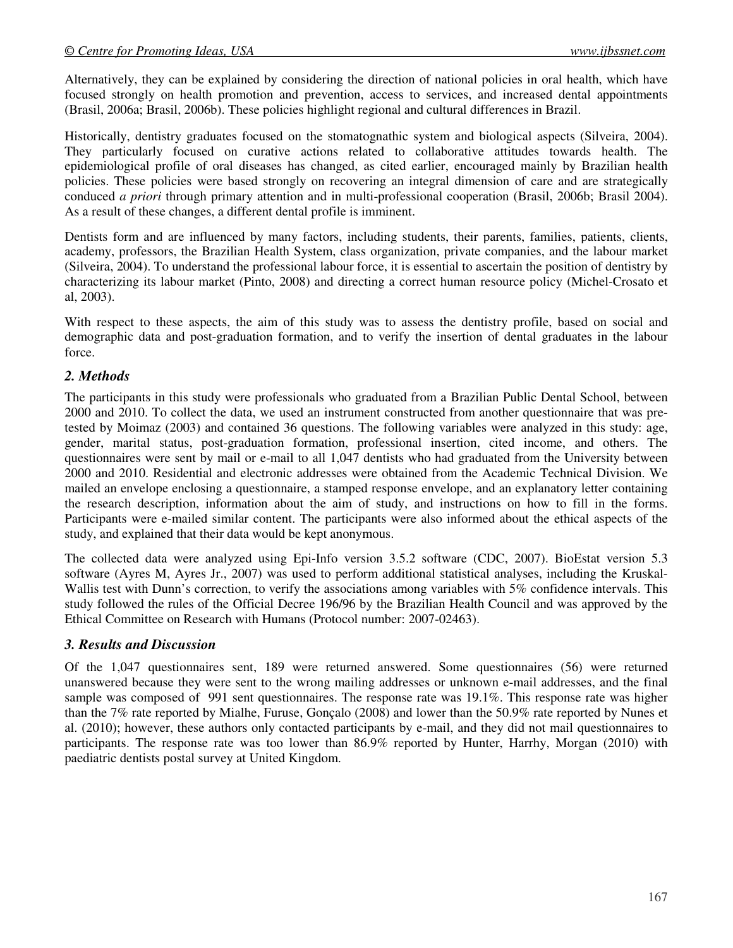Alternatively, they can be explained by considering the direction of national policies in oral health, which have focused strongly on health promotion and prevention, access to services, and increased dental appointments (Brasil, 2006a; Brasil, 2006b). These policies highlight regional and cultural differences in Brazil.

Historically, dentistry graduates focused on the stomatognathic system and biological aspects (Silveira, 2004). They particularly focused on curative actions related to collaborative attitudes towards health. The epidemiological profile of oral diseases has changed, as cited earlier, encouraged mainly by Brazilian health policies. These policies were based strongly on recovering an integral dimension of care and are strategically conduced *a priori* through primary attention and in multi-professional cooperation (Brasil, 2006b; Brasil 2004). As a result of these changes, a different dental profile is imminent.

Dentists form and are influenced by many factors, including students, their parents, families, patients, clients, academy, professors, the Brazilian Health System, class organization, private companies, and the labour market (Silveira, 2004). To understand the professional labour force, it is essential to ascertain the position of dentistry by characterizing its labour market (Pinto, 2008) and directing a correct human resource policy (Michel-Crosato et al, 2003).

With respect to these aspects, the aim of this study was to assess the dentistry profile, based on social and demographic data and post-graduation formation, and to verify the insertion of dental graduates in the labour force.

#### *2. Methods*

The participants in this study were professionals who graduated from a Brazilian Public Dental School, between 2000 and 2010. To collect the data, we used an instrument constructed from another questionnaire that was pretested by Moimaz (2003) and contained 36 questions. The following variables were analyzed in this study: age, gender, marital status, post-graduation formation, professional insertion, cited income, and others. The questionnaires were sent by mail or e-mail to all 1,047 dentists who had graduated from the University between 2000 and 2010. Residential and electronic addresses were obtained from the Academic Technical Division. We mailed an envelope enclosing a questionnaire, a stamped response envelope, and an explanatory letter containing the research description, information about the aim of study, and instructions on how to fill in the forms. Participants were e-mailed similar content. The participants were also informed about the ethical aspects of the study, and explained that their data would be kept anonymous.

The collected data were analyzed using Epi-Info version 3.5.2 software (CDC, 2007). BioEstat version 5.3 software (Ayres M, Ayres Jr., 2007) was used to perform additional statistical analyses, including the Kruskal-Wallis test with Dunn's correction, to verify the associations among variables with 5% confidence intervals. This study followed the rules of the Official Decree 196/96 by the Brazilian Health Council and was approved by the Ethical Committee on Research with Humans (Protocol number: 2007-02463).

#### *3. Results and Discussion*

Of the 1,047 questionnaires sent, 189 were returned answered. Some questionnaires (56) were returned unanswered because they were sent to the wrong mailing addresses or unknown e-mail addresses, and the final sample was composed of 991 sent questionnaires. The response rate was 19.1%. This response rate was higher than the 7% rate reported by Mialhe, Furuse, Gonçalo (2008) and lower than the 50.9% rate reported by Nunes et al. (2010); however, these authors only contacted participants by e-mail, and they did not mail questionnaires to participants. The response rate was too lower than 86.9% reported by Hunter, Harrhy, Morgan (2010) with paediatric dentists postal survey at United Kingdom.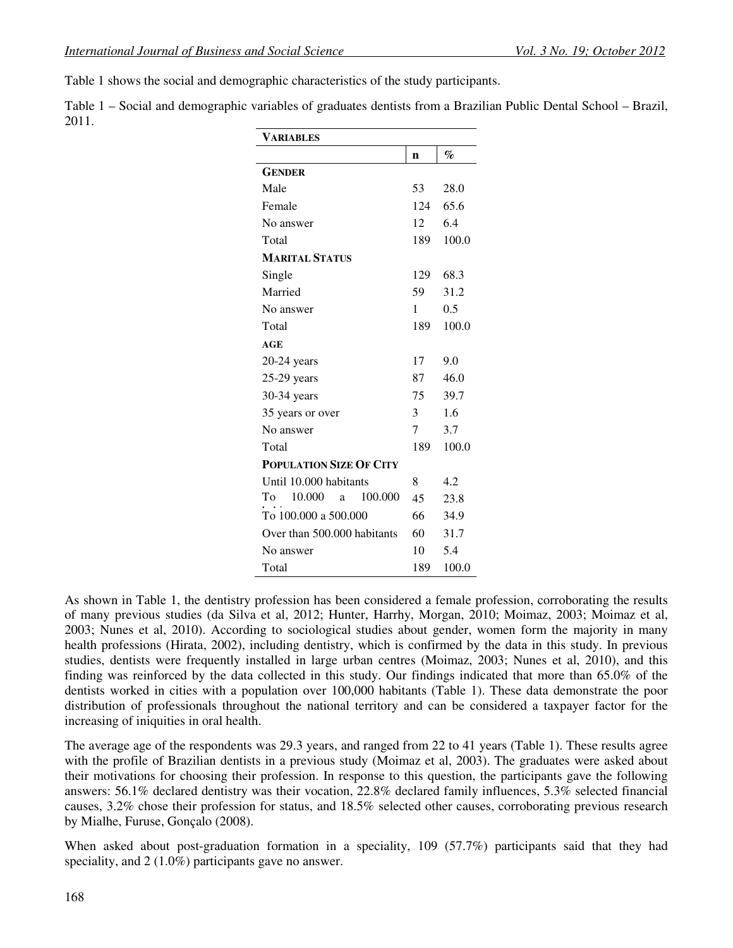Table 1 shows the social and demographic characteristics of the study participants.

Table 1 – Social and demographic variables of graduates dentists from a Brazilian Public Dental School – Brazil, 2011.

| VARIABLES                      |     |       |  |  |  |  |  |
|--------------------------------|-----|-------|--|--|--|--|--|
|                                | n   | $\%$  |  |  |  |  |  |
| <b>GENDER</b>                  |     |       |  |  |  |  |  |
| Male                           | 53  | 28.0  |  |  |  |  |  |
| Female                         | 124 | 65.6  |  |  |  |  |  |
| No answer                      | 12  | 6.4   |  |  |  |  |  |
| Total                          | 189 | 100.0 |  |  |  |  |  |
| <b>MARITAL STATUS</b>          |     |       |  |  |  |  |  |
| Single                         | 129 | 68.3  |  |  |  |  |  |
| Married                        | 59  | 31.2  |  |  |  |  |  |
| No answer                      | 1   | 0.5   |  |  |  |  |  |
| Total                          | 189 | 100.0 |  |  |  |  |  |
| AGE                            |     |       |  |  |  |  |  |
| $20-24$ years                  | 17  | 9.0   |  |  |  |  |  |
| $25-29$ years                  | 87  | 46.0  |  |  |  |  |  |
| 30-34 years                    | 75  | 39.7  |  |  |  |  |  |
| 35 years or over               | 3   | 1.6   |  |  |  |  |  |
| No answer                      | 7   | 3.7   |  |  |  |  |  |
| Total                          | 189 | 100.0 |  |  |  |  |  |
| <b>POPULATION SIZE OF CITY</b> |     |       |  |  |  |  |  |
| Until 10.000 habitants         | 8   | 4.2   |  |  |  |  |  |
| 10.000<br>100.000<br>To<br>a   | 45  | 23.8  |  |  |  |  |  |
| To 100.000 a 500.000           | 66  | 34.9  |  |  |  |  |  |
| Over than 500,000 habitants    | 60  | 31.7  |  |  |  |  |  |
| No answer                      | 10  | 5.4   |  |  |  |  |  |
| Total                          | 189 | 100.0 |  |  |  |  |  |

As shown in Table 1, the dentistry profession has been considered a female profession, corroborating the results of many previous studies (da Silva et al, 2012; Hunter, Harrhy, Morgan, 2010; Moimaz, 2003; Moimaz et al, 2003; Nunes et al, 2010). According to sociological studies about gender, women form the majority in many health professions (Hirata, 2002), including dentistry, which is confirmed by the data in this study. In previous studies, dentists were frequently installed in large urban centres (Moimaz, 2003; Nunes et al, 2010), and this finding was reinforced by the data collected in this study. Our findings indicated that more than 65.0% of the dentists worked in cities with a population over 100,000 habitants (Table 1). These data demonstrate the poor distribution of professionals throughout the national territory and can be considered a taxpayer factor for the increasing of iniquities in oral health.

The average age of the respondents was 29.3 years, and ranged from 22 to 41 years (Table 1). These results agree with the profile of Brazilian dentists in a previous study (Moimaz et al, 2003). The graduates were asked about their motivations for choosing their profession. In response to this question, the participants gave the following answers: 56.1% declared dentistry was their vocation, 22.8% declared family influences, 5.3% selected financial causes, 3.2% chose their profession for status, and 18.5% selected other causes, corroborating previous research by Mialhe, Furuse, Gonçalo (2008).

When asked about post-graduation formation in a speciality, 109 (57.7%) participants said that they had speciality, and 2 (1.0%) participants gave no answer.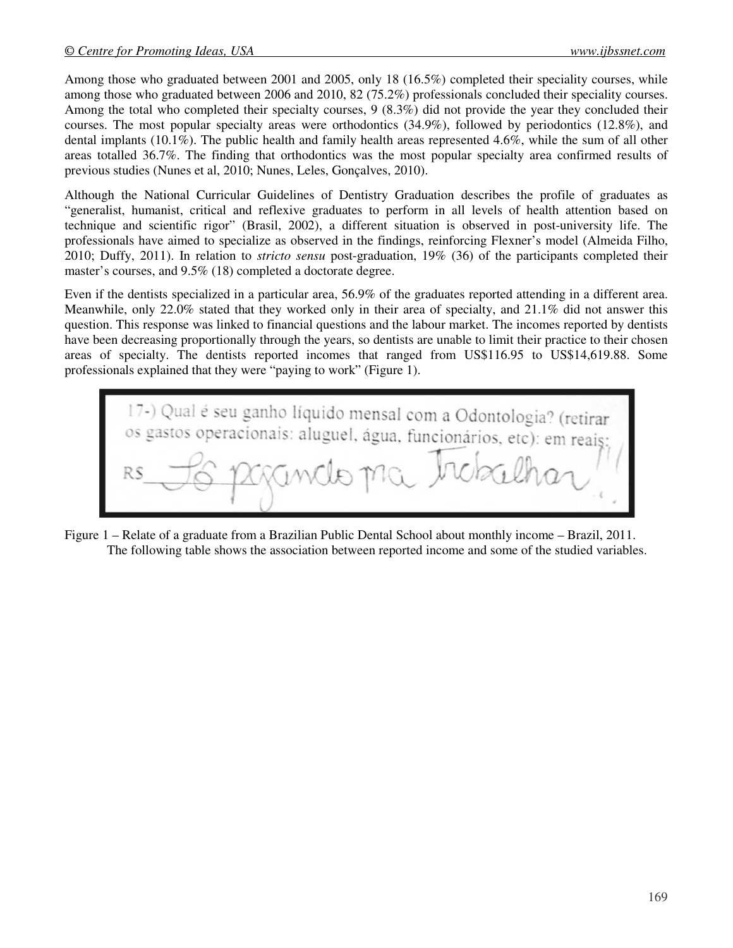Among those who graduated between 2001 and 2005, only 18 (16.5%) completed their speciality courses, while among those who graduated between 2006 and 2010, 82 (75.2%) professionals concluded their speciality courses. Among the total who completed their specialty courses, 9 (8.3%) did not provide the year they concluded their courses. The most popular specialty areas were orthodontics (34.9%), followed by periodontics (12.8%), and dental implants (10.1%). The public health and family health areas represented 4.6%, while the sum of all other areas totalled 36.7%. The finding that orthodontics was the most popular specialty area confirmed results of previous studies (Nunes et al, 2010; Nunes, Leles, Gonçalves, 2010).

Although the National Curricular Guidelines of Dentistry Graduation describes the profile of graduates as "generalist, humanist, critical and reflexive graduates to perform in all levels of health attention based on technique and scientific rigor" (Brasil, 2002), a different situation is observed in post-university life. The professionals have aimed to specialize as observed in the findings, reinforcing Flexner's model (Almeida Filho, 2010; Duffy, 2011). In relation to *stricto sensu* post-graduation, 19% (36) of the participants completed their master's courses, and 9.5% (18) completed a doctorate degree.

Even if the dentists specialized in a particular area, 56.9% of the graduates reported attending in a different area. Meanwhile, only 22.0% stated that they worked only in their area of specialty, and 21.1% did not answer this question. This response was linked to financial questions and the labour market. The incomes reported by dentists have been decreasing proportionally through the years, so dentists are unable to limit their practice to their chosen areas of specialty. The dentists reported incomes that ranged from US\$116.95 to US\$14,619.88. Some professionals explained that they were "paying to work" (Figure 1).



Figure 1 – Relate of a graduate from a Brazilian Public Dental School about monthly income – Brazil, 2011. The following table shows the association between reported income and some of the studied variables.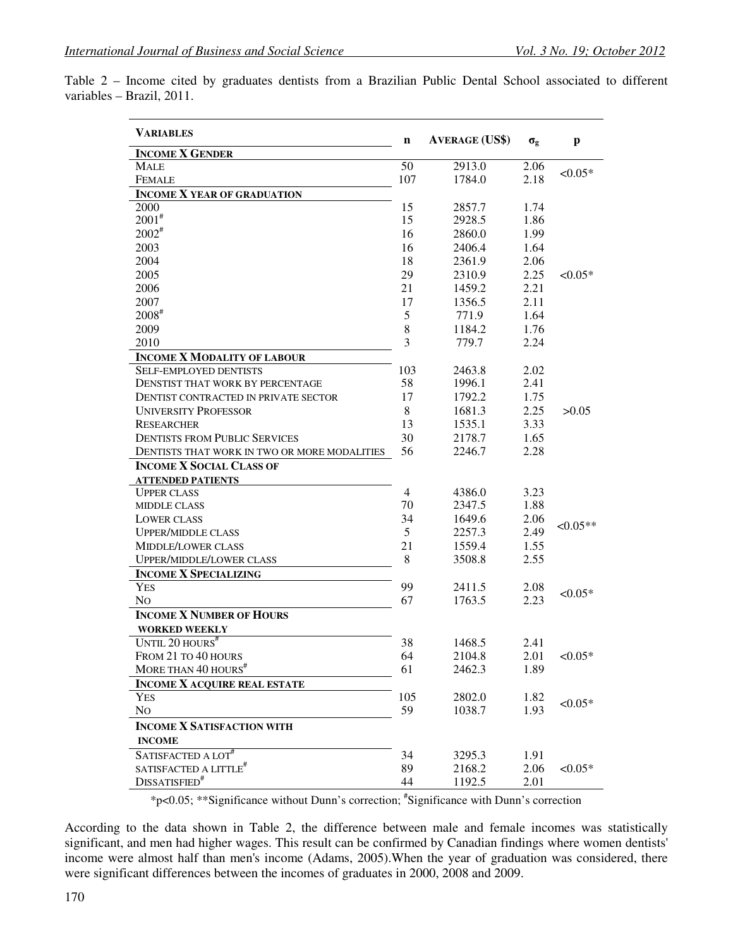|                           |  | Table 2 – Income cited by graduates dentists from a Brazilian Public Dental School associated to different |  |  |  |  |  |
|---------------------------|--|------------------------------------------------------------------------------------------------------------|--|--|--|--|--|
| variables – Brazil, 2011. |  |                                                                                                            |  |  |  |  |  |

| <b>VARIABLES</b>                             |                | <b>AVERAGE (US\$)</b> | $\sigma_{\rm g}$ | p          |  |
|----------------------------------------------|----------------|-----------------------|------------------|------------|--|
| <b>INCOME X GENDER</b>                       |                |                       |                  |            |  |
| MALE                                         | 50             | 2913.0                | 2.06             |            |  |
| <b>FEMALE</b>                                | 107            | 1784.0                | 2.18             | $<0.05*$   |  |
| <b>INCOME X YEAR OF GRADUATION</b>           |                |                       |                  |            |  |
| 2000                                         | 15             | 2857.7                | 1.74             |            |  |
| $2001$ <sup>#</sup>                          | 15             | 2928.5                | 1.86             |            |  |
| $2002^{\#}$                                  | 16             | 2860.0                | 1.99             |            |  |
| 2003                                         | 16             | 2406.4                | 1.64             |            |  |
| 2004                                         | 18             | 2361.9                | 2.06             |            |  |
| 2005                                         | 29             | 2310.9                | 2.25             | ${<}0.05*$ |  |
| 2006                                         | 21             | 1459.2                | 2.21             |            |  |
| 2007                                         | 17             | 1356.5                | 2.11             |            |  |
| $2008$ <sup>#</sup>                          | 5              | 771.9                 | 1.64             |            |  |
| 2009                                         | $\,8$          | 1184.2                | 1.76             |            |  |
| 2010                                         | 3              | 779.7                 | 2.24             |            |  |
| <b>INCOME X MODALITY OF LABOUR</b>           |                |                       |                  |            |  |
|                                              |                |                       |                  |            |  |
| <b>SELF-EMPLOYED DENTISTS</b>                | 103<br>58      | 2463.8                | 2.02             |            |  |
| DENSTIST THAT WORK BY PERCENTAGE             |                | 1996.1                | 2.41             |            |  |
| DENTIST CONTRACTED IN PRIVATE SECTOR         | 17             | 1792.2                | 1.75             |            |  |
| <b>UNIVERSITY PROFESSOR</b>                  | 8              | 1681.3                | 2.25             | >0.05      |  |
| <b>RESEARCHER</b>                            | 13             | 1535.1                | 3.33             |            |  |
| <b>DENTISTS FROM PUBLIC SERVICES</b>         | 30             | 2178.7                | 1.65             |            |  |
| DENTISTS THAT WORK IN TWO OR MORE MODALITIES | 56             | 2246.7                | 2.28             |            |  |
| <b>INCOME X SOCIAL CLASS OF</b>              |                |                       |                  |            |  |
| <b>ATTENDED PATIENTS</b>                     |                |                       |                  |            |  |
| <b>UPPER CLASS</b>                           | $\overline{4}$ | 4386.0                | 3.23             |            |  |
| <b>MIDDLE CLASS</b>                          | 70             | 2347.5                | 1.88             |            |  |
| <b>LOWER CLASS</b>                           | 34             | 1649.6                | 2.06             | $<0.05**$  |  |
| <b>UPPER/MIDDLE CLASS</b>                    | 5              | 2257.3                | 2.49             |            |  |
| <b>MIDDLE/LOWER CLASS</b>                    | 21             | 1559.4                | 1.55             |            |  |
| <b>UPPER/MIDDLE/LOWER CLASS</b>              | 8              | 3508.8                | 2.55             |            |  |
| <b>INCOME X SPECIALIZING</b>                 |                |                       |                  |            |  |
| <b>YES</b>                                   | 99             | 2411.5                | 2.08             |            |  |
| N <sub>O</sub>                               | 67             | 1763.5                | 2.23             | ${<}0.05*$ |  |
| <b>INCOME X NUMBER OF HOURS</b>              |                |                       |                  |            |  |
| <b>WORKED WEEKLY</b>                         |                |                       |                  |            |  |
| UNTIL 20 HOURS <sup>#</sup>                  | 38             | 1468.5                | 2.41             |            |  |
| FROM 21 TO 40 HOURS                          | 64             | 2104.8                | 2.01             | $<0.05*$   |  |
| MORE THAN 40 HOURS <sup>#</sup>              | 61             | 2462.3                | 1.89             |            |  |
| <b>INCOME X ACQUIRE REAL ESTATE</b>          |                |                       |                  |            |  |
| <b>YES</b>                                   | 105            | 2802.0                | 1.82             |            |  |
| No                                           | 59             | 1038.7                | 1.93             | $< 0.05*$  |  |
|                                              |                |                       |                  |            |  |
| <b>INCOME X SATISFACTION WITH</b>            |                |                       |                  |            |  |
| <b>INCOME</b>                                |                |                       |                  |            |  |
| SATISFACTED A LOT#                           | 34             | 3295.3                | 1.91             |            |  |
| SATISFACTED A LITTLE $^\#$                   | 89             | 2168.2                | 2.06             | $< 0.05*$  |  |
| DISSATISFIED <sup>#</sup>                    | 44             | 1192.5                | 2.01             |            |  |

\*p<0.05; \*\*Significance without Dunn's correction; # Significance with Dunn's correction

According to the data shown in Table 2, the difference between male and female incomes was statistically significant, and men had higher wages. This result can be confirmed by Canadian findings where women dentists' income were almost half than men's income (Adams, 2005).When the year of graduation was considered, there were significant differences between the incomes of graduates in 2000, 2008 and 2009.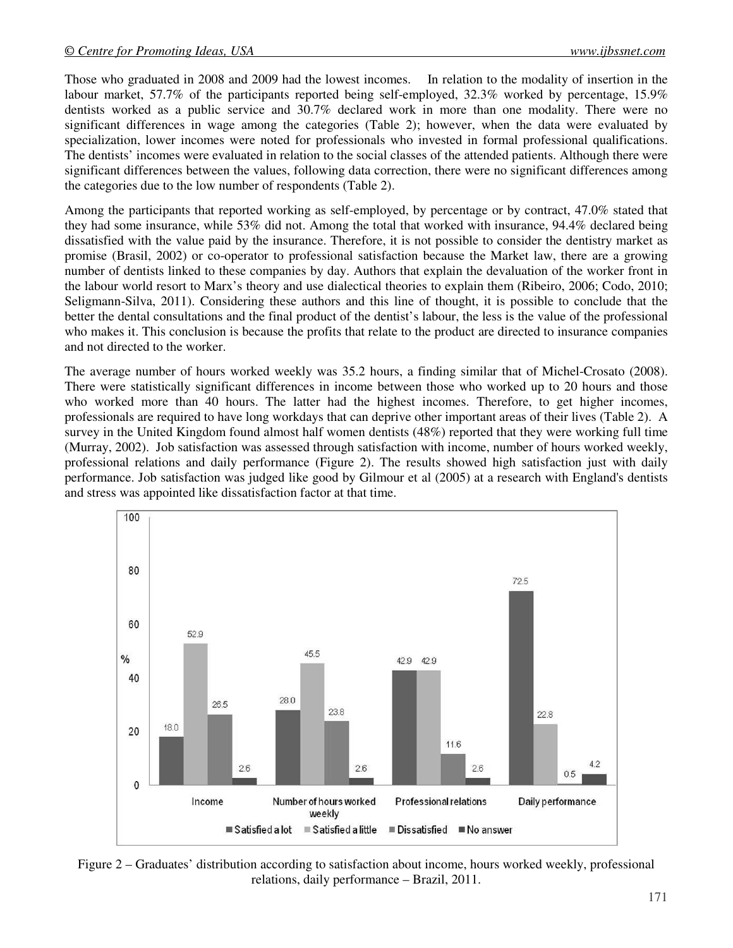Those who graduated in 2008 and 2009 had the lowest incomes. In relation to the modality of insertion in the labour market, 57.7% of the participants reported being self-employed, 32.3% worked by percentage, 15.9% dentists worked as a public service and 30.7% declared work in more than one modality. There were no significant differences in wage among the categories (Table 2); however, when the data were evaluated by specialization, lower incomes were noted for professionals who invested in formal professional qualifications. The dentists' incomes were evaluated in relation to the social classes of the attended patients. Although there were significant differences between the values, following data correction, there were no significant differences among the categories due to the low number of respondents (Table 2).

Among the participants that reported working as self-employed, by percentage or by contract, 47.0% stated that they had some insurance, while 53% did not. Among the total that worked with insurance, 94.4% declared being dissatisfied with the value paid by the insurance. Therefore, it is not possible to consider the dentistry market as promise (Brasil, 2002) or co-operator to professional satisfaction because the Market law, there are a growing number of dentists linked to these companies by day. Authors that explain the devaluation of the worker front in the labour world resort to Marx's theory and use dialectical theories to explain them (Ribeiro, 2006; Codo, 2010; Seligmann-Silva, 2011). Considering these authors and this line of thought, it is possible to conclude that the better the dental consultations and the final product of the dentist's labour, the less is the value of the professional who makes it. This conclusion is because the profits that relate to the product are directed to insurance companies and not directed to the worker.

The average number of hours worked weekly was 35.2 hours, a finding similar that of Michel-Crosato (2008). There were statistically significant differences in income between those who worked up to 20 hours and those who worked more than 40 hours. The latter had the highest incomes. Therefore, to get higher incomes, professionals are required to have long workdays that can deprive other important areas of their lives (Table 2). A survey in the United Kingdom found almost half women dentists (48%) reported that they were working full time (Murray, 2002). Job satisfaction was assessed through satisfaction with income, number of hours worked weekly, professional relations and daily performance (Figure 2). The results showed high satisfaction just with daily performance. Job satisfaction was judged like good by Gilmour et al (2005) at a research with England's dentists and stress was appointed like dissatisfaction factor at that time.



Figure 2 – Graduates' distribution according to satisfaction about income, hours worked weekly, professional relations, daily performance – Brazil, 2011.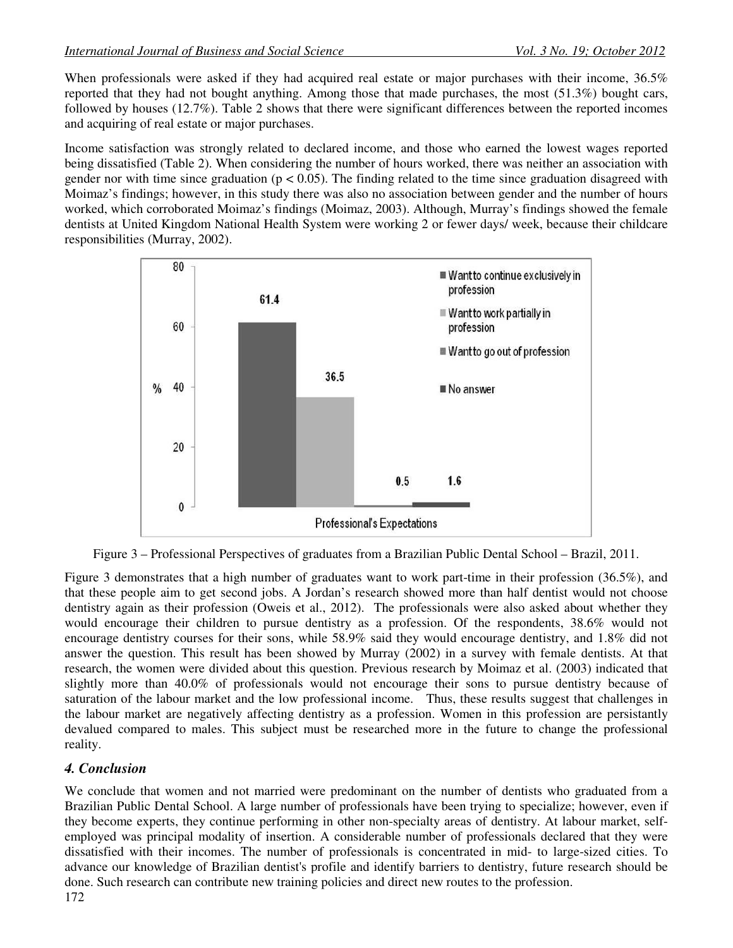When professionals were asked if they had acquired real estate or major purchases with their income, 36.5% reported that they had not bought anything. Among those that made purchases, the most (51.3%) bought cars, followed by houses (12.7%). Table 2 shows that there were significant differences between the reported incomes and acquiring of real estate or major purchases.

Income satisfaction was strongly related to declared income, and those who earned the lowest wages reported being dissatisfied (Table 2). When considering the number of hours worked, there was neither an association with gender nor with time since graduation ( $p < 0.05$ ). The finding related to the time since graduation disagreed with Moimaz's findings; however, in this study there was also no association between gender and the number of hours worked, which corroborated Moimaz's findings (Moimaz, 2003). Although, Murray's findings showed the female dentists at United Kingdom National Health System were working 2 or fewer days/ week, because their childcare responsibilities (Murray, 2002).



Figure 3 – Professional Perspectives of graduates from a Brazilian Public Dental School – Brazil, 2011.

Figure 3 demonstrates that a high number of graduates want to work part-time in their profession (36.5%), and that these people aim to get second jobs. A Jordan's research showed more than half dentist would not choose dentistry again as their profession (Oweis et al., 2012). The professionals were also asked about whether they would encourage their children to pursue dentistry as a profession. Of the respondents, 38.6% would not encourage dentistry courses for their sons, while 58.9% said they would encourage dentistry, and 1.8% did not answer the question. This result has been showed by Murray (2002) in a survey with female dentists. At that research, the women were divided about this question. Previous research by Moimaz et al. (2003) indicated that slightly more than 40.0% of professionals would not encourage their sons to pursue dentistry because of saturation of the labour market and the low professional income. Thus, these results suggest that challenges in the labour market are negatively affecting dentistry as a profession. Women in this profession are persistantly devalued compared to males. This subject must be researched more in the future to change the professional reality.

# *4. Conclusion*

We conclude that women and not married were predominant on the number of dentists who graduated from a Brazilian Public Dental School. A large number of professionals have been trying to specialize; however, even if they become experts, they continue performing in other non-specialty areas of dentistry. At labour market, selfemployed was principal modality of insertion. A considerable number of professionals declared that they were dissatisfied with their incomes. The number of professionals is concentrated in mid- to large-sized cities. To advance our knowledge of Brazilian dentist's profile and identify barriers to dentistry, future research should be done. Such research can contribute new training policies and direct new routes to the profession.